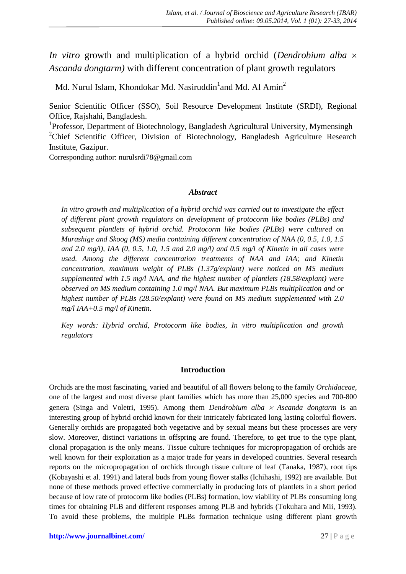*In vitro* growth and multiplication of a hybrid orchid (*Dendrobium alba Ascanda dongtarm)* with different concentration of plant growth regulators

Md. Nurul Islam, Khondokar Md. Nasiruddin<sup>1</sup>and Md. Al Amin<sup>2</sup>

Senior Scientific Officer (SSO), Soil Resource Development Institute (SRDI), Regional Office, Rajshahi, Bangladesh.

<sup>1</sup>Professor, Department of Biotechnology, Bangladesh Agricultural University, Mymensingh <sup>2</sup>Chief Scientific Officer, Division of Biotechnology, Bangladesh Agriculture Research Institute, Gazipur.

Corresponding author: nurulsrdi78@gmail.com

## *Abstract*

*In vitro growth and multiplication of a hybrid orchid was carried out to investigate the effect of different plant growth regulators on development of protocorm like bodies (PLBs) and subsequent plantlets of hybrid orchid. Protocorm like bodies (PLBs) were cultured on Murashige and Skoog (MS) media containing different concentration of NAA (0, 0.5, 1.0, 1.5 and 2.0 mg/l), IAA (0, 0.5, 1.0, 1.5 and 2.0 mg/l) and 0.5 mg/l of Kinetin in all cases were used. Among the different concentration treatments of NAA and IAA; and Kinetin concentration, maximum weight of PLBs (1.37g/explant) were noticed on MS medium supplemented with 1.5 mg/l NAA, and the highest number of plantlets (18.58/explant) were observed on MS medium containing 1.0 mg/l NAA. But maximum PLBs multiplication and or highest number of PLBs (28.50/explant) were found on MS medium supplemented with 2.0 mg/l IAA+0.5 mg/l of Kinetin.*

*Key words: Hybrid orchid, Protocorm like bodies, In vitro multiplication and growth regulators*

## **Introduction**

Orchids are the most fascinating, varied and beautiful of all flowers belong to the family *Orchidaceae*, one of the largest and most diverse plant families which has more than 25,000 species and 700-800 genera (Singa and Voletri, 1995). Among them *Dendrobium alba Ascanda dongtarm* is an interesting group of hybrid orchid known for their intricately fabricated long lasting colorful flowers. Generally orchids are propagated both vegetative and by sexual means but these processes are very slow. Moreover, distinct variations in offspring are found. Therefore, to get true to the type plant, clonal propagation is the only means. Tissue culture techniques for micropropagation of orchids are well known for their exploitation as a major trade for years in developed countries. Several research reports on the micropropagation of orchids through tissue culture of leaf (Tanaka, 1987), root tips (Kobayashi et al. 1991) and lateral buds from young flower stalks (Ichihashi, 1992) are available. But none of these methods proved effective commercially in producing lots of plantlets in a short period because of low rate of protocorm like bodies (PLBs) formation, low viability of PLBs consuming long times for obtaining PLB and different responses among PLB and hybrids (Tokuhara and Mii, 1993). To avoid these problems, the multiple PLBs formation technique using different plant growth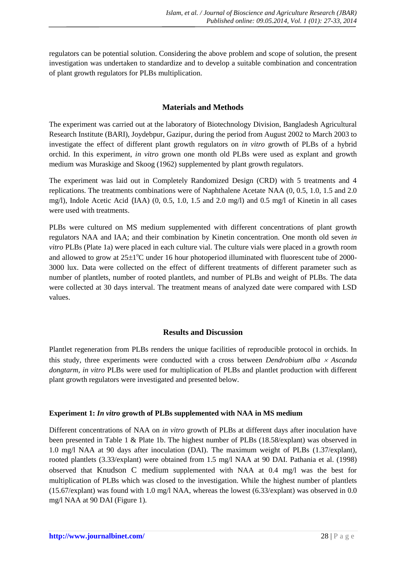regulators can be potential solution. Considering the above problem and scope of solution, the present investigation was undertaken to standardize and to develop a suitable combination and concentration of plant growth regulators for PLBs multiplication.

# **Materials and Methods**

The experiment was carried out at the laboratory of Biotechnology Division, Bangladesh Agricultural Research Institute (BARI), Joydebpur, Gazipur, during the period from August 2002 to March 2003 to investigate the effect of different plant growth regulators on *in vitro* growth of PLBs of a hybrid orchid. In this experiment, *in vitro* grown one month old PLBs were used as explant and growth medium was Muraskige and Skoog (1962) supplemented by plant growth regulators.

The experiment was laid out in Completely Randomized Design (CRD) with 5 treatments and 4 replications. The treatments combinations were of Naphthalene Acetate NAA (0, 0.5, 1.0, 1.5 and 2.0 mg/l), Indole Acetic Acid **(**IAA) (0, 0.5, 1.0, 1.5 and 2.0 mg/l) and 0.5 mg/l of Kinetin in all cases were used with treatments.

PLBs were cultured on MS medium supplemented with different concentrations of plant growth regulators NAA and IAA; and their combination by Kinetin concentration. One month old seven *in vitro* PLBs (Plate 1a) were placed in each culture vial. The culture vials were placed in a growth room and allowed to grow at  $25\pm1^{\circ}$ C under 16 hour photoperiod illuminated with fluorescent tube of 2000-3000 lux. Data were collected on the effect of different treatments of different parameter such as number of plantlets, number of rooted plantlets, and number of PLBs and weight of PLBs. The data were collected at 30 days interval. The treatment means of analyzed date were compared with LSD values.

## **Results and Discussion**

Plantlet regeneration from PLBs renders the unique facilities of reproducible protocol in orchids. In this study, three experiments were conducted with a cross between *Dendrobium alba Ascanda dongtarm*, *in vitro* PLBs were used for multiplication of PLBs and plantlet production with different plant growth regulators were investigated and presented below.

## **Experiment 1:** *In vitro* **growth of PLBs supplemented with NAA in MS medium**

Different concentrations of NAA on *in vitro* growth of PLBs at different days after inoculation have been presented in Table 1 & Plate 1b. The highest number of PLBs (18.58/explant) was observed in 1.0 mg/l NAA at 90 days after inoculation (DAI). The maximum weight of PLBs (1.37/explant), rooted plantlets (3.33/explant) were obtained from 1.5 mg/l NAA at 90 DAI. Pathania et al. (1998) observed that Knudson C medium supplemented with NAA at 0.4 mg/l was the best for multiplication of PLBs which was closed to the investigation. While the highest number of plantlets (15.67/explant) was found with 1.0 mg/l NAA, whereas the lowest (6.33/explant) was observed in 0.0 mg/l NAA at 90 DAI (Figure 1).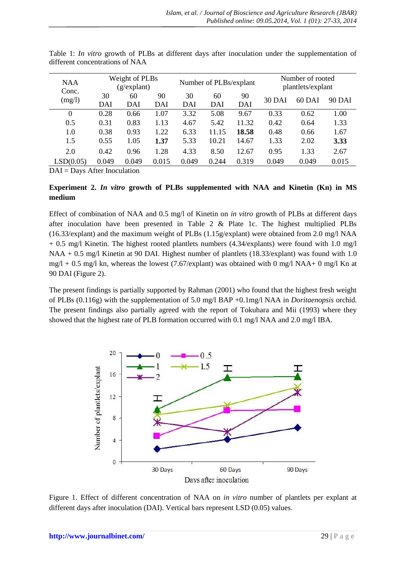| <b>NAA</b><br>Conc.<br>(mg/l) | Weight of PLBs<br>(g/expand) |       |       | Number of PLBs/explant |       |       | Number of rooted<br>plantlets/explant |        |        |
|-------------------------------|------------------------------|-------|-------|------------------------|-------|-------|---------------------------------------|--------|--------|
|                               | 30                           | 60    | 90    | 30                     | 60    | 90    | <b>30 DAI</b>                         | 60 DAI | 90 DAI |
|                               | DAI                          | DAI   | DAI   | DAI                    | DAI   | DAI   |                                       |        |        |
| $\overline{0}$                | 0.28                         | 0.66  | 1.07  | 3.32                   | 5.08  | 9.67  | 0.33                                  | 0.62   | 1.00   |
| 0.5                           | 0.31                         | 0.83  | 1.13  | 4.67                   | 5.42  | 11.32 | 0.42                                  | 0.64   | 1.33   |
| 1.0                           | 0.38                         | 0.93  | 1.22  | 6.33                   | 11.15 | 18.58 | 0.48                                  | 0.66   | 1.67   |
| 1.5                           | 0.55                         | 1.05  | 1.37  | 5.33                   | 10.21 | 14.67 | 1.33                                  | 2.02   | 3.33   |
| 2.0                           | 0.42                         | 0.96  | 1.28  | 4.33                   | 8.50  | 12.67 | 0.95                                  | 1.33   | 2.67   |
| LSD(0.05)                     | 0.049                        | 0.049 | 0.015 | 0.049                  | 0.244 | 0.319 | 0.049                                 | 0.049  | 0.015  |

Table 1: *In vitro* growth of PLBs at different days after inoculation under the supplementation of different concentrations of NAA

DAI = Days After Inoculation

# **Experiment 2.** *In vitro* **growth of PLBs supplemented with NAA and Kinetin (Kn) in MS medium**

Effect of combination of NAA and 0.5 mg/l of Kinetin on *in vitro* growth of PLBs at different days after inoculation have been presented in Table 2 & Plate 1c. The highest multiplied PLBs  $(16.33/\exp$ ant) and the maximum weight of PLBs  $(1.15g/\exp)$ ant) were obtained from 2.0 mg/l NAA + 0.5 mg/l Kinetin. The highest rooted plantlets numbers (4.34/explants) were found with 1.0 mg/l NAA + 0.5 mg/l Kinetin at 90 DAI. Highest number of plantlets (18.33/explant) was found with 1.0  $mg/l + 0.5$  mg/l kn, whereas the lowest (7.67/explant) was obtained with 0 mg/l NAA+ 0 mg/l Kn at 90 DAI (Figure 2).

The present findings is partially supported by Rahman (2001) who found that the highest fresh weight of PLBs (0.116g) with the supplementation of 5.0 mg/l BAP +0.1mg/l NAA in *Doritaenopsis* orchid. The present findings also partially agreed with the report of Tokuhara and Mii (1993) where they showed that the highest rate of PLB formation occurred with 0.1 mg/l NAA and 2.0 mg/l IBA.



Figure 1. Effect of different concentration of NAA on *in vitro* number of plantlets per explant at different days after inoculation (DAI). Vertical bars represent LSD (0.05) values.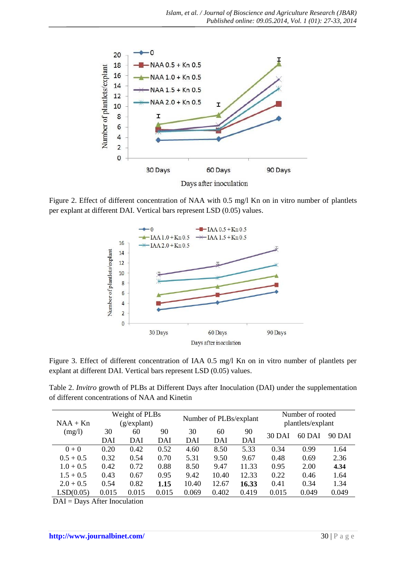

Figure 2. Effect of different concentration of NAA with 0.5 mg/l Kn on in vitro number of plantlets per explant at different DAI. Vertical bars represent LSD (0.05) values.



Figure 3. Effect of different concentration of IAA 0.5 mg/l Kn on in vitro number of plantlets per explant at different DAI. Vertical bars represent LSD (0.05) values.

Table 2. *Invitro* growth of PLBs at Different Days after Inoculation (DAI) under the supplementation of different concentrations of NAA and Kinetin

| $NAA + Kn$  | Weight of PLBs<br>(g/explant) |           |           | Number of PLBs/explant |           |           | Number of rooted<br>plantlets/explant |        |        |
|-------------|-------------------------------|-----------|-----------|------------------------|-----------|-----------|---------------------------------------|--------|--------|
| (mg/l)      | 30<br>DAI                     | 60<br>DAI | 90<br>DAI | 30<br>DAI              | 60<br>DAI | 90<br>DAI | 30 DAI                                | 60 DAI | 90 DAI |
| $0 + 0$     | 0.20                          | 0.42      | 0.52      | 4.60                   | 8.50      | 5.33      | 0.34                                  | 0.99   | 1.64   |
| $0.5 + 0.5$ | 0.32                          | 0.54      | 0.70      | 5.31                   | 9.50      | 9.67      | 0.48                                  | 0.69   | 2.36   |
| $1.0 + 0.5$ | 0.42                          | 0.72      | 0.88      | 8.50                   | 9.47      | 11.33     | 0.95                                  | 2.00   | 4.34   |
| $1.5 + 0.5$ | 0.43                          | 0.67      | 0.95      | 9.42                   | 10.40     | 12.33     | 0.22                                  | 0.46   | 1.64   |
| $2.0 + 0.5$ | 0.54                          | 0.82      | 1.15      | 10.40                  | 12.67     | 16.33     | 0.41                                  | 0.34   | 1.34   |
| LSD(0.05)   | 0.015                         | 0.015     | 0.015     | 0.069                  | 0.402     | 0.419     | 0.015                                 | 0.049  | 0.049  |

DAI = Days After Inoculation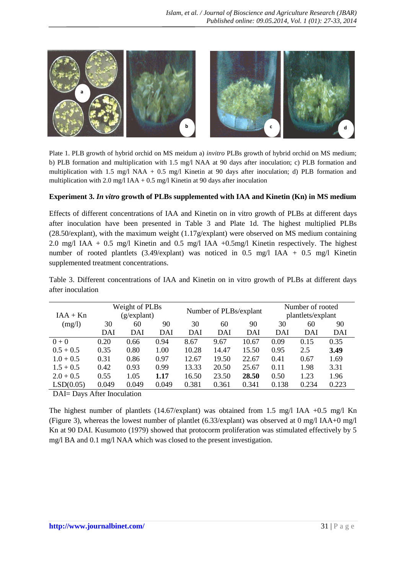

Plate 1. PLB growth of hybrid orchid on MS meidum a) *invitro* PLBs growth of hybrid orchid on MS medium; b) PLB formation and multiplication with 1.5 mg/l NAA at 90 days after inoculation; c) PLB formation and multiplication with 1.5 mg/l NAA + 0.5 mg/l Kinetin at 90 days after inoculation; d) PLB formation and multiplication with 2.0 mg/l IAA + 0.5 mg/l Kinetin at 90 days after inoculation

#### **Experiment 3.** *In vitro* **growth of PLBs supplemented with IAA and Kinetin (Kn) in MS medium**

Effects of different concentrations of IAA and Kinetin on in vitro growth of PLBs at different days after inoculation have been presented in Table 3 and Plate 1d. The highest multiplied PLBs (28.50/explant), with the maximum weight (1.17g/explant) were observed on MS medium containing 2.0 mg/l IAA + 0.5 mg/l Kinetin and 0.5 mg/l IAA +0.5mg/l Kinetin respectively. The highest number of rooted plantlets (3.49/explant) was noticed in 0.5 mg/l IAA + 0.5 mg/l Kinetin supplemented treatment concentrations.

| $IAA + Kn$  | Weight of PLBs<br>(g/expand)  |              |       | Number of PLBs/explant |       |       | Number of rooted<br>plantlets/explant |       |       |
|-------------|-------------------------------|--------------|-------|------------------------|-------|-------|---------------------------------------|-------|-------|
| (mg/l)      | 30                            | 60           | 90    | 30                     | 60    | 90    | 30                                    | 60    | 90    |
|             | DAI                           | DAI          | DAI   | DAI                    | DAI   | DAI   | DAI                                   | DAI   | DAI   |
| $0 + 0$     | 0.20                          | 0.66         | 0.94  | 8.67                   | 9.67  | 10.67 | 0.09                                  | 0.15  | 0.35  |
| $0.5 + 0.5$ | 0.35                          | 0.80         | 1.00  | 10.28                  | 14.47 | 15.50 | 0.95                                  | 2.5   | 3.49  |
| $1.0 + 0.5$ | 0.31                          | 0.86         | 0.97  | 12.67                  | 19.50 | 22.67 | 0.41                                  | 0.67  | 1.69  |
| $1.5 + 0.5$ | 0.42                          | 0.93         | 0.99  | 13.33                  | 20.50 | 25.67 | 0.11                                  | 1.98  | 3.31  |
| $2.0 + 0.5$ | 0.55                          | 1.05         | 1.17  | 16.50                  | 23.50 | 28.50 | 0.50                                  | 1.23  | 1.96  |
| LSD(0.05)   | 0.049                         | 0.049        | 0.049 | 0.381                  | 0.361 | 0.341 | 0.138                                 | 0.234 | 0.223 |
| DIT D       | $\mathbf{A} \cdot \mathbf{C}$ | $\mathbf{1}$ |       |                        |       |       |                                       |       |       |

Table 3. Different concentrations of IAA and Kinetin on in vitro growth of PLBs at different days after inoculation

DAI= Days After Inoculation

The highest number of plantlets (14.67/explant) was obtained from 1.5 mg/l IAA +0.5 mg/l Kn (Figure 3), whereas the lowest number of plantlet  $(6.33/explant)$  was observed at 0 mg/l IAA+0 mg/l Kn at 90 DAI. Kusumoto (1979) showed that protocorm proliferation was stimulated effectively by 5 mg/l BA and 0.1 mg/l NAA which was closed to the present investigation.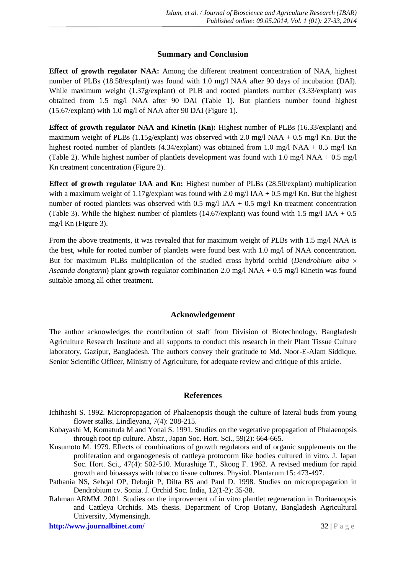# **Summary and Conclusion**

**Effect of growth regulator NAA:** Among the different treatment concentration of NAA, highest number of PLBs (18.58/explant) was found with 1.0 mg/l NAA after 90 days of incubation (DAI). While maximum weight (1.37g/explant) of PLB and rooted plantlets number (3.33/explant) was obtained from 1.5 mg/l NAA after 90 DAI (Table 1). But plantlets number found highest (15.67/explant) with 1.0 mg/l of NAA after 90 DAI (Figure 1).

**Effect of growth regulator NAA and Kinetin (Kn):** Highest number of PLBs (16.33/explant) and maximum weight of PLBs (1.15g/explant) was observed with 2.0 mg/l NAA + 0.5 mg/l Kn. But the highest rooted number of plantlets (4.34/explant) was obtained from 1.0 mg/l NAA + 0.5 mg/l Kn (Table 2). While highest number of plantlets development was found with  $1.0 \text{ mg/l}$  NAA +  $0.5 \text{ mg/l}$ Kn treatment concentration (Figure 2).

**Effect of growth regulator IAA and Kn:** Highest number of PLBs (28.50/explant) multiplication with a maximum weight of 1.17g/explant was found with 2.0 mg/l IAA + 0.5 mg/l Kn. But the highest number of rooted plantlets was observed with  $0.5 \text{ mg/l}$  IAA +  $0.5 \text{ mg/l}$  Kn treatment concentration (Table 3). While the highest number of plantlets (14.67/explant) was found with 1.5 mg/l IAA +  $0.5$ mg/l Kn (Figure 3).

From the above treatments, it was revealed that for maximum weight of PLBs with 1.5 mg/l NAA is the best, while for rooted number of plantlets were found best with 1.0 mg/l of NAA concentration. But for maximum PLBs multiplication of the studied cross hybrid orchid (*Dendrobium alba Ascanda dongtarm*) plant growth regulator combination 2.0 mg/l NAA + 0.5 mg/l Kinetin was found suitable among all other treatment.

## **Acknowledgement**

The author acknowledges the contribution of staff from Division of Biotechnology, Bangladesh Agriculture Research Institute and all supports to conduct this research in their Plant Tissue Culture laboratory, Gazipur, Bangladesh. The authors convey their gratitude to Md. Noor-E-Alam Siddique, Senior Scientific Officer, Ministry of Agriculture, for adequate review and critique of this article.

## **References**

- Ichihashi S. 1992. Micropropagation of Phalaenopsis though the culture of lateral buds from young flower stalks. Lindleyana, 7(4): 208-215.
- Kobayashi M, Komatuda M and Yonai S. 1991. Studies on the vegetative propagation of Phalaenopsis through root tip culture. Abstr., Japan Soc. Hort. Sci., 59(2): 664-665.
- Kusumoto M. 1979. Effects of combinations of growth regulators and of organic supplements on the proliferation and organogenesis of cattleya protocorm like bodies cultured in vitro. J. Japan Soc. Hort. Sci., 47(4): 502-510. Murashige T., Skoog F. 1962. A revised medium for rapid growth and bioassays with tobacco tissue cultures. Physiol. Plantarum 15: 473-497.
- Pathania NS, Sehqal OP, Debojit P, Dilta BS and Paul D. 1998. Studies on micropropagation in Dendrobium cv. Sonia. J. Orchid Soc. India, 12(1-2): 35-38.
- Rahman ARMM. 2001. Studies on the improvement of in vitro plantlet regeneration in Doritaenopsis and Cattleya Orchids. MS thesis. Department of Crop Botany, Bangladesh Agricultural University, Mymensingh.